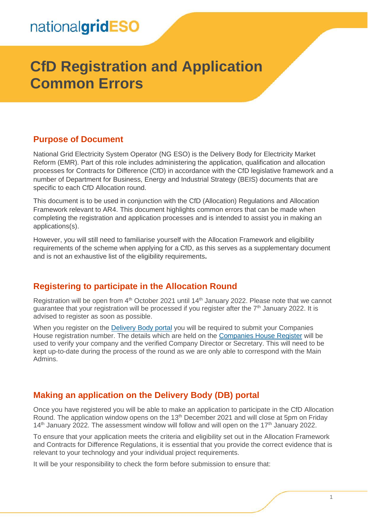# **CfD Registration and Application Common Errors**

#### **Purpose of Document**

National Grid Electricity System Operator (NG ESO) is the Delivery Body for Electricity Market Reform (EMR). Part of this role includes administering the application, qualification and allocation processes for Contracts for Difference (CfD) in accordance with the CfD legislative framework and a number of Department for Business, Energy and Industrial Strategy (BEIS) documents that are specific to each CfD Allocation round.

This document is to be used in conjunction with the CfD (Allocation) Regulations and Allocation Framework relevant to AR4. This document highlights common errors that can be made when completing the registration and application processes and is intended to assist you in making an applications(s).

However, you will still need to familiarise yourself with the Allocation Framework and eligibility requirements of the scheme when applying for a CfD, as this serves as a supplementary document and is not an exhaustive list of the eligibility requirements**.**

### **Registering to participate in the Allocation Round**

Registration will be open from 4<sup>th</sup> October 2021 until 14<sup>th</sup> January 2022. Please note that we cannot guarantee that your registration will be processed if you register after the  $7<sup>th</sup>$  January 2022. It is advised to register as soon as possible.

When you register on the [Delivery Body portal](https://www.emrdeliverybody.com/SitePages/Home.aspx) you will be required to submit your Companies House registration number. The details which are held on the [Companies House Register](https://www.gov.uk/government/organisations/companies-house) will be used to verify your company and the verified Company Director or Secretary. This will need to be kept up-to-date during the process of the round as we are only able to correspond with the Main Admins.

### **Making an application on the Delivery Body (DB) portal**

Once you have registered you will be able to make an application to participate in the CfD Allocation Round. The application window opens on the  $13<sup>th</sup>$  December 2021 and will close at 5pm on Friday  $14<sup>th</sup>$  January 2022. The assessment window will follow and will open on the 17<sup>th</sup> January 2022.

To ensure that your application meets the criteria and eligibility set out in the Allocation Framework and Contracts for Difference Regulations, it is essential that you provide the correct evidence that is relevant to your technology and your individual project requirements.

It will be your responsibility to check the form before submission to ensure that: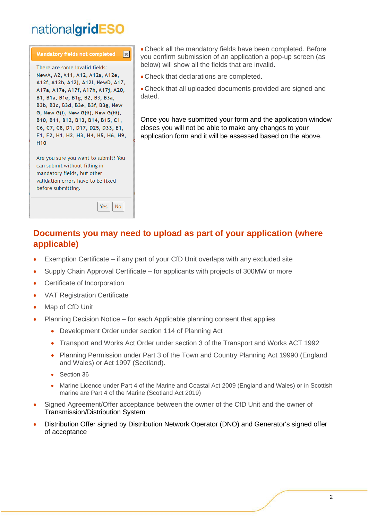# nationalgridESO



Are you sure you want to submit? You can submit without filling in mandatory fields, but other validation errors have to be fixed before submitting.

> $Yes$  $N<sub>o</sub>$

• Check all the mandatory fields have been completed. Before you confirm submission of an application a pop-up screen (as below) will show all the fields that are invalid.

• Check that declarations are completed.

• Check that all uploaded documents provided are signed and dated.

Once you have submitted your form and the application window closes you will not be able to make any changes to your application form and it will be assessed based on the above.

## **Documents you may need to upload as part of your application (where applicable)**

- Exemption Certificate if any part of your CfD Unit overlaps with any excluded site
- Supply Chain Approval Certificate for applicants with projects of 300MW or more
- Certificate of Incorporation
- VAT Registration Certificate
- Map of CfD Unit
- Planning Decision Notice for each Applicable planning consent that applies
	- Development Order under section 114 of Planning Act
	- Transport and Works Act Order under section 3 of the Transport and Works ACT 1992
	- Planning Permission under Part 3 of the Town and Country Planning Act 19990 (England and Wales) or Act 1997 (Scotland).
	- Section 36
	- Marine Licence under Part 4 of the Marine and Coastal Act 2009 (England and Wales) or in Scottish marine are Part 4 of the Marine (Scotland Act 2019)
- Signed Agreement/Offer acceptance between the owner of the CfD Unit and the owner of Transmission/Distribution System
- Distribution Offer signed by Distribution Network Operator (DNO) and Generator's signed offer of acceptance